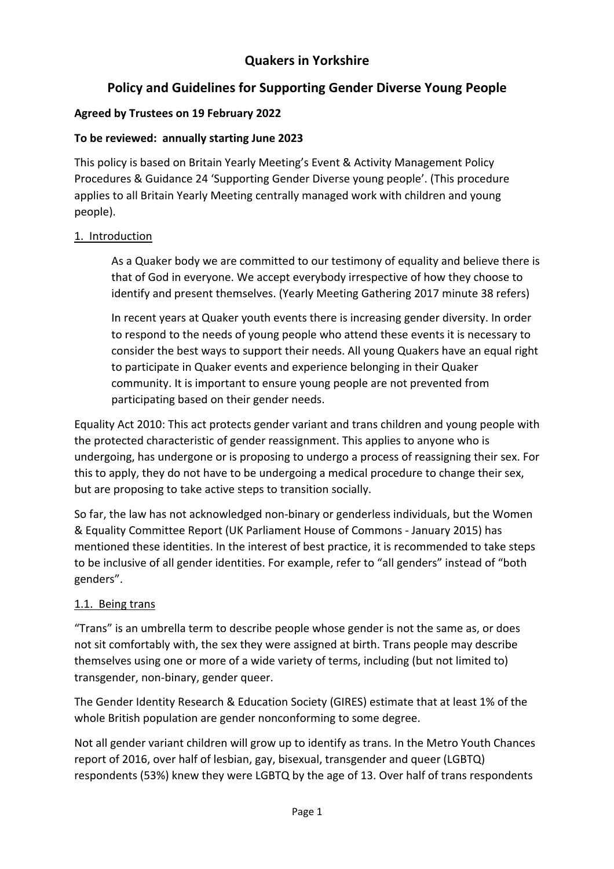# **Quakers in Yorkshire**

# **Policy and Guidelines for Supporting Gender Diverse Young People**

## **Agreed by Trustees on 19 February 2022**

## **To be reviewed: annually starting June 2023**

This policy is based on Britain Yearly Meeting's Event & Activity Management Policy Procedures & Guidance 24 'Supporting Gender Diverse young people'. (This procedure applies to all Britain Yearly Meeting centrally managed work with children and young people).

## 1. Introduction

As a Quaker body we are committed to our testimony of equality and believe there is that of God in everyone. We accept everybody irrespective of how they choose to identify and present themselves. (Yearly Meeting Gathering 2017 minute 38 refers)

In recent years at Quaker youth events there is increasing gender diversity. In order to respond to the needs of young people who attend these events it is necessary to consider the best ways to support their needs. All young Quakers have an equal right to participate in Quaker events and experience belonging in their Quaker community. It is important to ensure young people are not prevented from participating based on their gender needs.

Equality Act 2010: This act protects gender variant and trans children and young people with the protected characteristic of gender reassignment. This applies to anyone who is undergoing, has undergone or is proposing to undergo a process of reassigning their sex. For this to apply, they do not have to be undergoing a medical procedure to change their sex, but are proposing to take active steps to transition socially.

So far, the law has not acknowledged non‐binary or genderless individuals, but the Women & Equality Committee Report (UK Parliament House of Commons ‐ January 2015) has mentioned these identities. In the interest of best practice, it is recommended to take steps to be inclusive of all gender identities. For example, refer to "all genders" instead of "both genders".

## 1.1. Being trans

"Trans" is an umbrella term to describe people whose gender is not the same as, or does not sit comfortably with, the sex they were assigned at birth. Trans people may describe themselves using one or more of a wide variety of terms, including (but not limited to) transgender, non‐binary, gender queer.

The Gender Identity Research & Education Society (GIRES) estimate that at least 1% of the whole British population are gender nonconforming to some degree.

Not all gender variant children will grow up to identify as trans. In the Metro Youth Chances report of 2016, over half of lesbian, gay, bisexual, transgender and queer (LGBTQ) respondents (53%) knew they were LGBTQ by the age of 13. Over half of trans respondents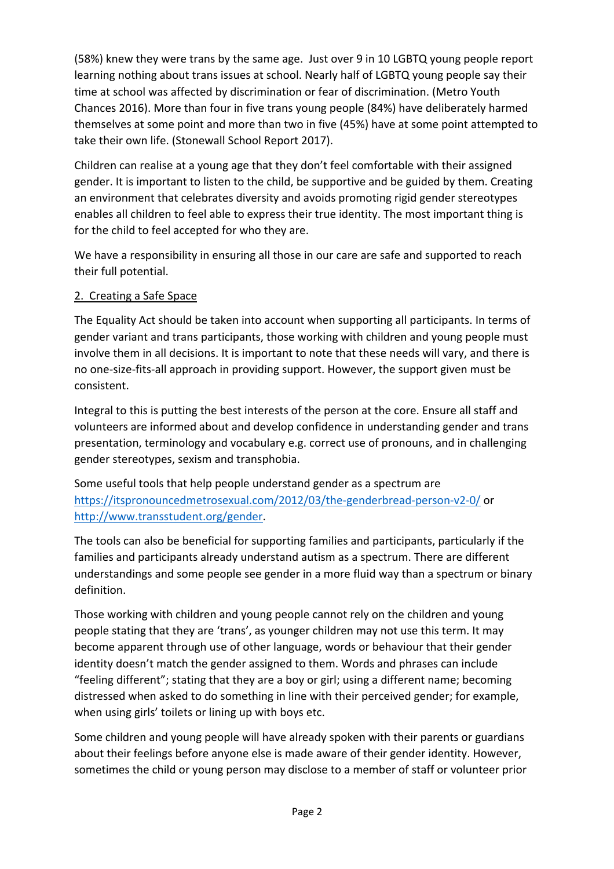(58%) knew they were trans by the same age. Just over 9 in 10 LGBTQ young people report learning nothing about trans issues at school. Nearly half of LGBTQ young people say their time at school was affected by discrimination or fear of discrimination. (Metro Youth Chances 2016). More than four in five trans young people (84%) have deliberately harmed themselves at some point and more than two in five (45%) have at some point attempted to take their own life. (Stonewall School Report 2017).

Children can realise at a young age that they don't feel comfortable with their assigned gender. It is important to listen to the child, be supportive and be guided by them. Creating an environment that celebrates diversity and avoids promoting rigid gender stereotypes enables all children to feel able to express their true identity. The most important thing is for the child to feel accepted for who they are.

We have a responsibility in ensuring all those in our care are safe and supported to reach their full potential.

#### 2. Creating a Safe Space

The Equality Act should be taken into account when supporting all participants. In terms of gender variant and trans participants, those working with children and young people must involve them in all decisions. It is important to note that these needs will vary, and there is no one‐size‐fits‐all approach in providing support. However, the support given must be consistent.

Integral to this is putting the best interests of the person at the core. Ensure all staff and volunteers are informed about and develop confidence in understanding gender and trans presentation, terminology and vocabulary e.g. correct use of pronouns, and in challenging gender stereotypes, sexism and transphobia.

Some useful tools that help people understand gender as a spectrum are https://itspronouncedmetrosexual.com/2012/03/the‐genderbread‐person‐v2‐0/ or http://www.transstudent.org/gender.

The tools can also be beneficial for supporting families and participants, particularly if the families and participants already understand autism as a spectrum. There are different understandings and some people see gender in a more fluid way than a spectrum or binary definition.

Those working with children and young people cannot rely on the children and young people stating that they are 'trans', as younger children may not use this term. It may become apparent through use of other language, words or behaviour that their gender identity doesn't match the gender assigned to them. Words and phrases can include "feeling different"; stating that they are a boy or girl; using a different name; becoming distressed when asked to do something in line with their perceived gender; for example, when using girls' toilets or lining up with boys etc.

Some children and young people will have already spoken with their parents or guardians about their feelings before anyone else is made aware of their gender identity. However, sometimes the child or young person may disclose to a member of staff or volunteer prior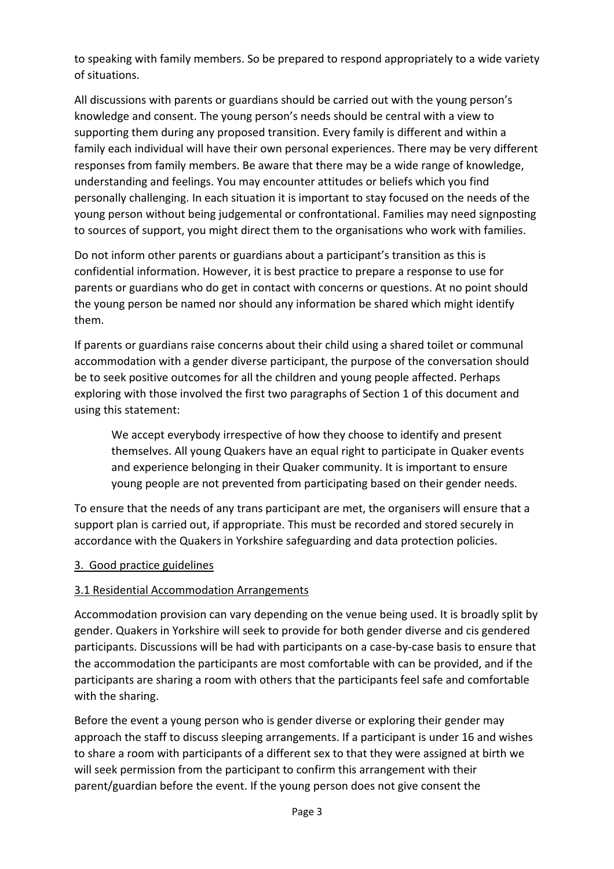to speaking with family members. So be prepared to respond appropriately to a wide variety of situations.

All discussions with parents or guardians should be carried out with the young person's knowledge and consent. The young person's needs should be central with a view to supporting them during any proposed transition. Every family is different and within a family each individual will have their own personal experiences. There may be very different responses from family members. Be aware that there may be a wide range of knowledge, understanding and feelings. You may encounter attitudes or beliefs which you find personally challenging. In each situation it is important to stay focused on the needs of the young person without being judgemental or confrontational. Families may need signposting to sources of support, you might direct them to the organisations who work with families.

Do not inform other parents or guardians about a participant's transition as this is confidential information. However, it is best practice to prepare a response to use for parents or guardians who do get in contact with concerns or questions. At no point should the young person be named nor should any information be shared which might identify them.

If parents or guardians raise concerns about their child using a shared toilet or communal accommodation with a gender diverse participant, the purpose of the conversation should be to seek positive outcomes for all the children and young people affected. Perhaps exploring with those involved the first two paragraphs of Section 1 of this document and using this statement:

We accept everybody irrespective of how they choose to identify and present themselves. All young Quakers have an equal right to participate in Quaker events and experience belonging in their Quaker community. It is important to ensure young people are not prevented from participating based on their gender needs.

To ensure that the needs of any trans participant are met, the organisers will ensure that a support plan is carried out, if appropriate. This must be recorded and stored securely in accordance with the Quakers in Yorkshire safeguarding and data protection policies.

#### 3. Good practice guidelines

## 3.1 Residential Accommodation Arrangements

Accommodation provision can vary depending on the venue being used. It is broadly split by gender. Quakers in Yorkshire will seek to provide for both gender diverse and cis gendered participants. Discussions will be had with participants on a case‐by‐case basis to ensure that the accommodation the participants are most comfortable with can be provided, and if the participants are sharing a room with others that the participants feel safe and comfortable with the sharing.

Before the event a young person who is gender diverse or exploring their gender may approach the staff to discuss sleeping arrangements. If a participant is under 16 and wishes to share a room with participants of a different sex to that they were assigned at birth we will seek permission from the participant to confirm this arrangement with their parent/guardian before the event. If the young person does not give consent the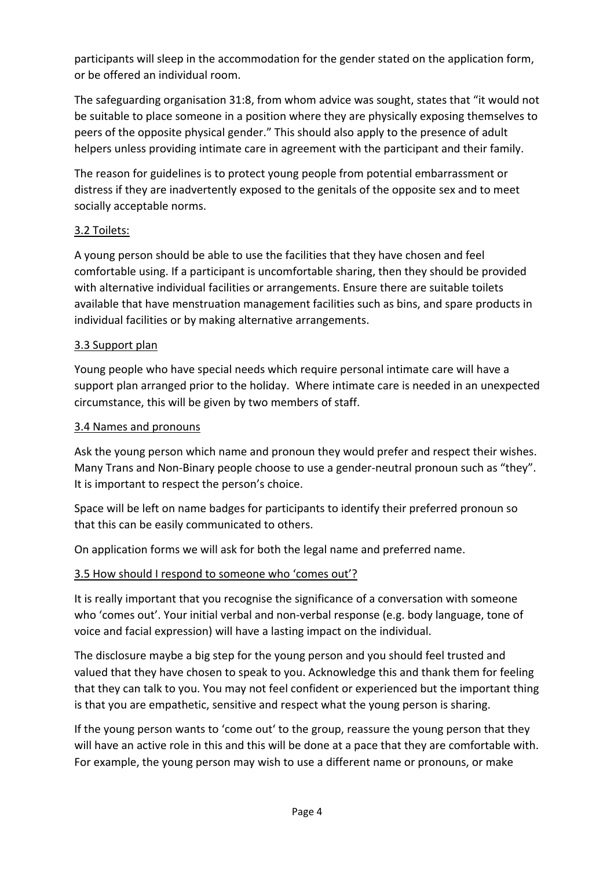participants will sleep in the accommodation for the gender stated on the application form, or be offered an individual room.

The safeguarding organisation 31:8, from whom advice was sought, states that "it would not be suitable to place someone in a position where they are physically exposing themselves to peers of the opposite physical gender." This should also apply to the presence of adult helpers unless providing intimate care in agreement with the participant and their family.

The reason for guidelines is to protect young people from potential embarrassment or distress if they are inadvertently exposed to the genitals of the opposite sex and to meet socially acceptable norms.

## 3.2 Toilets:

A young person should be able to use the facilities that they have chosen and feel comfortable using. If a participant is uncomfortable sharing, then they should be provided with alternative individual facilities or arrangements. Ensure there are suitable toilets available that have menstruation management facilities such as bins, and spare products in individual facilities or by making alternative arrangements.

## 3.3 Support plan

Young people who have special needs which require personal intimate care will have a support plan arranged prior to the holiday. Where intimate care is needed in an unexpected circumstance, this will be given by two members of staff.

## 3.4 Names and pronouns

Ask the young person which name and pronoun they would prefer and respect their wishes. Many Trans and Non-Binary people choose to use a gender-neutral pronoun such as "they". It is important to respect the person's choice.

Space will be left on name badges for participants to identify their preferred pronoun so that this can be easily communicated to others.

On application forms we will ask for both the legal name and preferred name.

## 3.5 How should I respond to someone who 'comes out'?

It is really important that you recognise the significance of a conversation with someone who 'comes out'. Your initial verbal and non‐verbal response (e.g. body language, tone of voice and facial expression) will have a lasting impact on the individual.

The disclosure maybe a big step for the young person and you should feel trusted and valued that they have chosen to speak to you. Acknowledge this and thank them for feeling that they can talk to you. You may not feel confident or experienced but the important thing is that you are empathetic, sensitive and respect what the young person is sharing.

If the young person wants to 'come out' to the group, reassure the young person that they will have an active role in this and this will be done at a pace that they are comfortable with. For example, the young person may wish to use a different name or pronouns, or make